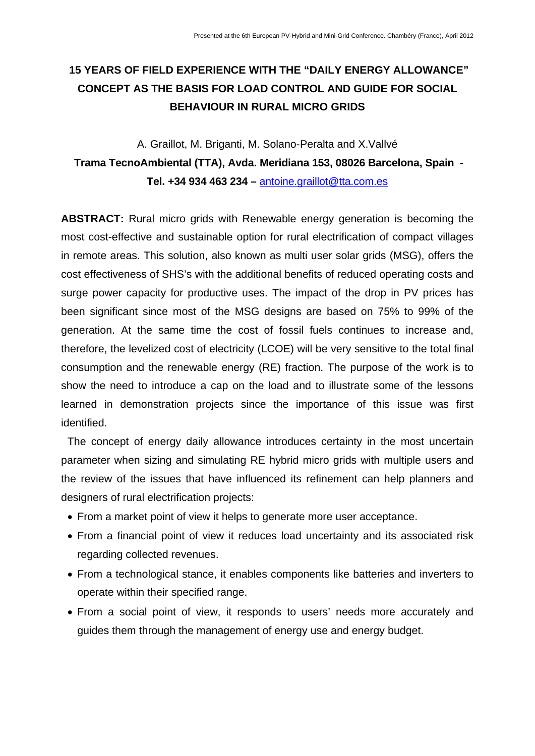# **15 YEARS OF FIELD EXPERIENCE WITH THE "DAILY ENERGY ALLOWANCE" CONCEPT AS THE BASIS FOR LOAD CONTROL AND GUIDE FOR SOCIAL BEHAVIOUR IN RURAL MICRO GRIDS**

# A. Graillot, M. Briganti, M. Solano-Peralta and X.Vallvé  **Trama TecnoAmbiental (TTA), Avda. Meridiana 153, 08026 Barcelona, Spain - Tel. +34 934 463 234 –** [antoine.graillot@tta.com.es](mailto:antoine.graillot@tta.com.es)

**ABSTRACT:** Rural micro grids with Renewable energy generation is becoming the most cost-effective and sustainable option for rural electrification of compact villages in remote areas. This solution, also known as multi user solar grids (MSG), offers the cost effectiveness of SHS's with the additional benefits of reduced operating costs and surge power capacity for productive uses. The impact of the drop in PV prices has been significant since most of the MSG designs are based on 75% to 99% of the generation. At the same time the cost of fossil fuels continues to increase and, therefore, the levelized cost of electricity (LCOE) will be very sensitive to the total final consumption and the renewable energy (RE) fraction. The purpose of the work is to show the need to introduce a cap on the load and to illustrate some of the lessons learned in demonstration projects since the importance of this issue was first identified.

The concept of energy daily allowance introduces certainty in the most uncertain parameter when sizing and simulating RE hybrid micro grids with multiple users and the review of the issues that have influenced its refinement can help planners and designers of rural electrification projects:

- From a market point of view it helps to generate more user acceptance.
- From a financial point of view it reduces load uncertainty and its associated risk regarding collected revenues.
- From a technological stance, it enables components like batteries and inverters to operate within their specified range.
- From a social point of view, it responds to users' needs more accurately and guides them through the management of energy use and energy budget.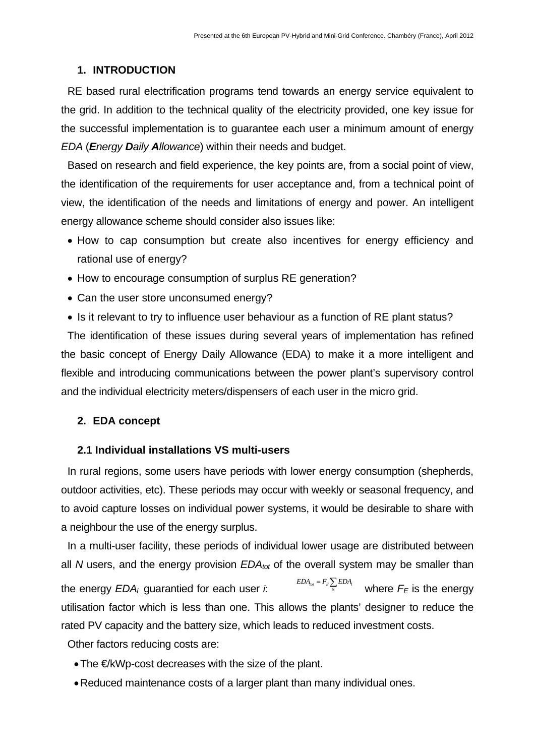## **1. INTRODUCTION**

RE based rural electrification programs tend towards an energy service equivalent to the grid. In addition to the technical quality of the electricity provided, one key issue for the successful implementation is to guarantee each user a minimum amount of energy *EDA* (*Energy Daily Allowance*) within their needs and budget.

Based on research and field experience, the key points are, from a social point of view, the identification of the requirements for user acceptance and, from a technical point of view, the identification of the needs and limitations of energy and power. An intelligent energy allowance scheme should consider also issues like:

- How to cap consumption but create also incentives for energy efficiency and rational use of energy?
- How to encourage consumption of surplus RE generation?
- Can the user store unconsumed energy?
- Is it relevant to try to influence user behaviour as a function of RE plant status?

The identification of these issues during several years of implementation has refined the basic concept of Energy Daily Allowance (EDA) to make it a more intelligent and flexible and introducing communications between the power plant's supervisory control and the individual electricity meters/dispensers of each user in the micro grid.

# **2. EDA concept**

## **2.1 Individual installations VS multi-users**

In rural regions, some users have periods with lower energy consumption (shepherds, outdoor activities, etc). These periods may occur with weekly or seasonal frequency, and to avoid capture losses on individual power systems, it would be desirable to share with a neighbour the use of the energy surplus.

In a multi-user facility, these periods of individual lower usage are distributed between all *N* users, and the energy provision *EDA<sub>tot</sub>* of the overall system may be smaller than the energy  $EDA_i$  guarantied for each user  $i$ .  $\mathit{\mathit{EDA}_{\mathit{tot}}}=F_{\mathit{E}}\sum_{\mathit{N}}\mathit{EDA}_{\mathit{i}}$  where  $F_{\mathit{E}}$  is the energy utilisation factor which is less than one. This allows the plants' designer to reduce the rated PV capacity and the battery size, which leads to reduced investment costs.

Other factors reducing costs are:

- The €/kWp-cost decreases with the size of the plant.
- Reduced maintenance costs of a larger plant than many individual ones.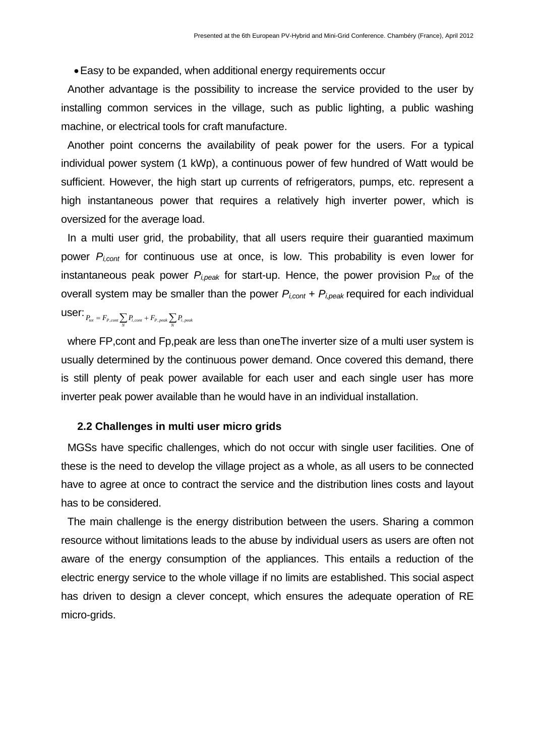• Easy to be expanded, when additional energy requirements occur

Another advantage is the possibility to increase the service provided to the user by installing common services in the village, such as public lighting, a public washing machine, or electrical tools for craft manufacture.

Another point concerns the availability of peak power for the users. For a typical individual power system (1 kWp), a continuous power of few hundred of Watt would be sufficient. However, the high start up currents of refrigerators, pumps, etc. represent a high instantaneous power that requires a relatively high inverter power, which is oversized for the average load.

In a multi user grid, the probability, that all users require their guarantied maximum power *Pi,cont* for continuous use at once, is low. This probability is even lower for instantaneous peak power *Pi,peak* for start-up. Hence, the power provision P*tot* of the overall system may be smaller than the power *Pi,cont* + *Pi,peak* required for each individual  $\text{USET: } P_{tot} = F_{P,cont} \sum_{N} P_{i,cont} + F_{P, peak} \sum_{N} P_{i, peak}$ 

where FP,cont and Fp,peak are less than oneThe inverter size of a multi user system is usually determined by the continuous power demand. Once covered this demand, there is still plenty of peak power available for each user and each single user has more inverter peak power available than he would have in an individual installation.

#### **2.2 Challenges in multi user micro grids**

MGSs have specific challenges, which do not occur with single user facilities. One of these is the need to develop the village project as a whole, as all users to be connected have to agree at once to contract the service and the distribution lines costs and layout has to be considered.

The main challenge is the energy distribution between the users. Sharing a common resource without limitations leads to the abuse by individual users as users are often not aware of the energy consumption of the appliances. This entails a reduction of the electric energy service to the whole village if no limits are established. This social aspect has driven to design a clever concept, which ensures the adequate operation of RE micro-grids.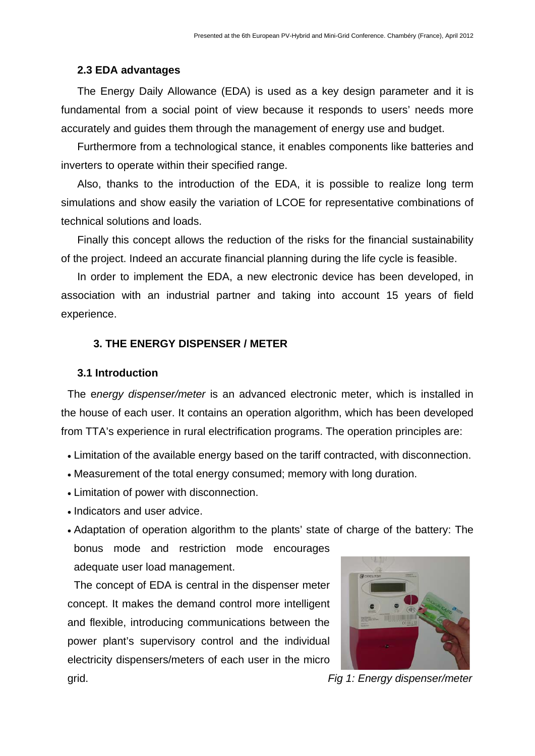### **2.3 EDA advantages**

The Energy Daily Allowance (EDA) is used as a key design parameter and it is fundamental from a social point of view because it responds to users' needs more accurately and guides them through the management of energy use and budget.

Furthermore from a technological stance, it enables components like batteries and inverters to operate within their specified range.

Also, thanks to the introduction of the EDA, it is possible to realize long term simulations and show easily the variation of LCOE for representative combinations of technical solutions and loads.

Finally this concept allows the reduction of the risks for the financial sustainability of the project. Indeed an accurate financial planning during the life cycle is feasible.

In order to implement the EDA, a new electronic device has been developed, in association with an industrial partner and taking into account 15 years of field experience.

## **3. THE ENERGY DISPENSER / METER**

#### **3.1 Introduction**

The e*nergy dispenser/meter* is an advanced electronic meter, which is installed in the house of each user. It contains an operation algorithm, which has been developed from TTA's experience in rural electrification programs. The operation principles are:

- Limitation of the available energy based on the tariff contracted, with disconnection.
- Measurement of the total energy consumed; memory with long duration.
- Limitation of power with disconnection.
- Indicators and user advice.
- Adaptation of operation algorithm to the plants' state of charge of the battery: The bonus mode and restriction mode encourages

adequate user load management.

The concept of EDA is central in the dispenser meter concept. It makes the demand control more intelligent and flexible, introducing communications between the power plant's supervisory control and the individual electricity dispensers/meters of each user in the micro



grid. *Fig 1: Energy dispenser/meter*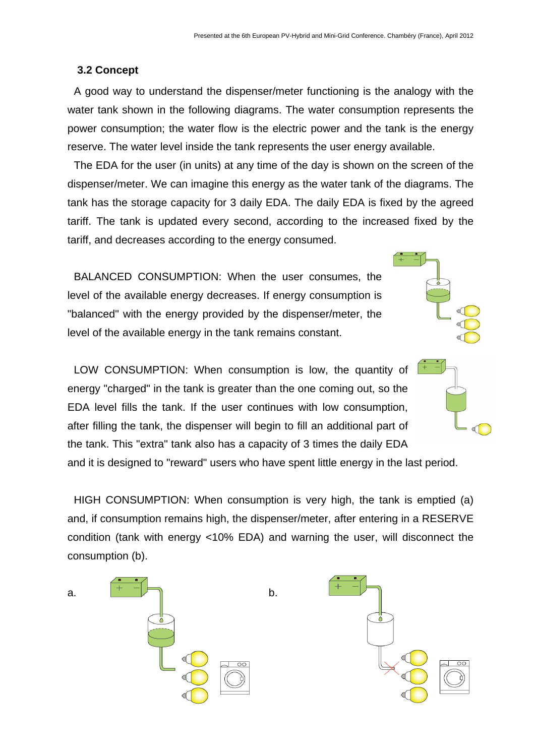## **3.2 Concept**

A good way to understand the dispenser/meter functioning is the analogy with the water tank shown in the following diagrams. The water consumption represents the power consumption; the water flow is the electric power and the tank is the energy reserve. The water level inside the tank represents the user energy available.

The EDA for the user (in units) at any time of the day is shown on the screen of the dispenser/meter. We can imagine this energy as the water tank of the diagrams. The tank has the storage capacity for 3 daily EDA. The daily EDA is fixed by the agreed tariff. The tank is updated every second, according to the increased fixed by the tariff, and decreases according to the energy consumed.

BALANCED CONSUMPTION: When the user consumes, the level of the available energy decreases. If energy consumption is "balanced" with the energy provided by the dispenser/meter, the level of the available energy in the tank remains constant.

LOW CONSUMPTION: When consumption is low, the quantity of energy "charged" in the tank is greater than the one coming out, so the EDA level fills the tank. If the user continues with low consumption, after filling the tank, the dispenser will begin to fill an additional part of the tank. This "extra" tank also has a capacity of 3 times the daily EDA



and it is designed to "reward" users who have spent little energy in the last period.

HIGH CONSUMPTION: When consumption is very high, the tank is emptied (a) and, if consumption remains high, the dispenser/meter, after entering in a RESERVE condition (tank with energy <10% EDA) and warning the user, will disconnect the consumption (b).

a.  $\begin{array}{ccc} & & \uparrow & \uparrow \\ \hline & & \downarrow \\ \end{array}$  b.

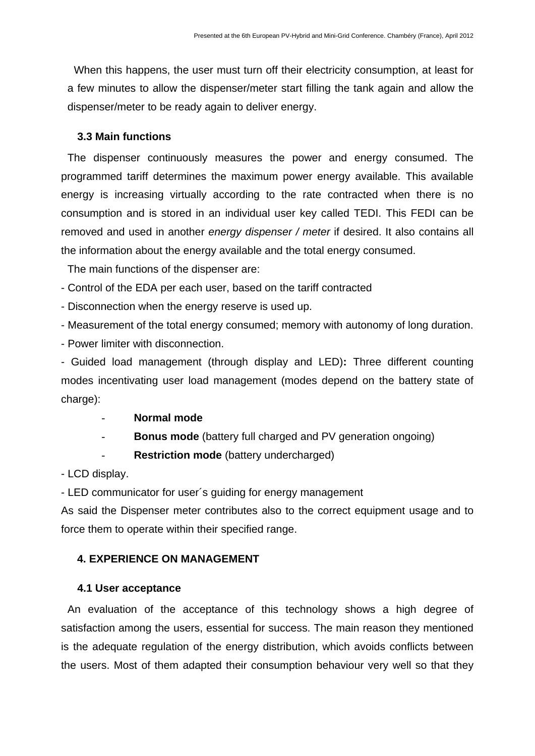When this happens, the user must turn off their electricity consumption, at least for a few minutes to allow the dispenser/meter start filling the tank again and allow the dispenser/meter to be ready again to deliver energy.

## **3.3 Main functions**

The dispenser continuously measures the power and energy consumed. The programmed tariff determines the maximum power energy available. This available energy is increasing virtually according to the rate contracted when there is no consumption and is stored in an individual user key called TEDI. This FEDI can be removed and used in another *energy dispenser / meter* if desired. It also contains all the information about the energy available and the total energy consumed.

The main functions of the dispenser are:

- Control of the EDA per each user, based on the tariff contracted

- Disconnection when the energy reserve is used up.

- Measurement of the total energy consumed; memory with autonomy of long duration.

- Power limiter with disconnection.

- Guided load management (through display and LED)**:** Three different counting modes incentivating user load management (modes depend on the battery state of charge):

- **Normal mode**
- **Bonus mode** (battery full charged and PV generation ongoing)
- **Restriction mode** (battery undercharged)

- LCD display.

- LED communicator for user´s guiding for energy management

As said the Dispenser meter contributes also to the correct equipment usage and to force them to operate within their specified range.

# **4. EXPERIENCE ON MANAGEMENT**

# **4.1 User acceptance**

An evaluation of the acceptance of this technology shows a high degree of satisfaction among the users, essential for success. The main reason they mentioned is the adequate regulation of the energy distribution, which avoids conflicts between the users. Most of them adapted their consumption behaviour very well so that they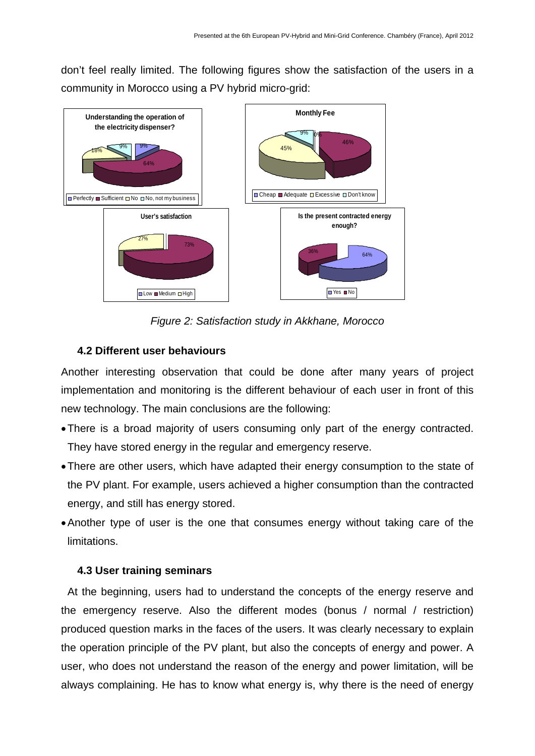don't feel really limited. The following figures show the satisfaction of the users in a community in Morocco using a PV hybrid micro-grid:



*Figure 2: Satisfaction study in Akkhane, Morocco* 

# **4.2 Different user behaviours**

Another interesting observation that could be done after many years of project implementation and monitoring is the different behaviour of each user in front of this new technology. The main conclusions are the following:

- There is a broad majority of users consuming only part of the energy contracted. They have stored energy in the regular and emergency reserve.
- There are other users, which have adapted their energy consumption to the state of the PV plant. For example, users achieved a higher consumption than the contracted energy, and still has energy stored.
- Another type of user is the one that consumes energy without taking care of the limitations.

# **4.3 User training seminars**

At the beginning, users had to understand the concepts of the energy reserve and the emergency reserve. Also the different modes (bonus / normal / restriction) produced question marks in the faces of the users. It was clearly necessary to explain the operation principle of the PV plant, but also the concepts of energy and power. A user, who does not understand the reason of the energy and power limitation, will be always complaining. He has to know what energy is, why there is the need of energy